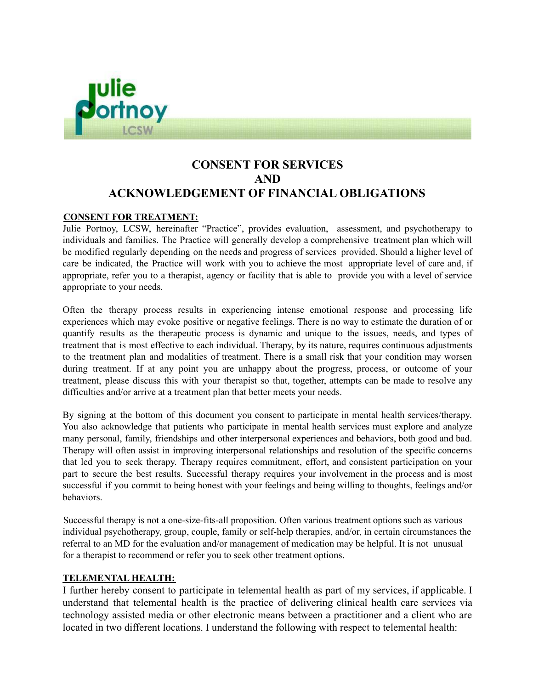

# **CONSENT FOR SERVICES AND ACKNOWLEDGEMENT OF FINANCIAL OBLIGATIONS**

## **CONSENT FOR TREATMENT:**

Julie Portnoy, LCSW, hereinafter "Practice", provides evaluation, assessment, and psychotherapy to individuals and families. The Practice will generally develop a comprehensive treatment plan which will be modified regularly depending on the needs and progress of services provided. Should a higher level of care be indicated, the Practice will work with you to achieve the most appropriate level of care and, if appropriate, refer you to a therapist, agency or facility that is able to provide you with a level of service appropriate to your needs.

Often the therapy process results in experiencing intense emotional response and processing life experiences which may evoke positive or negative feelings. There is no way to estimate the duration of or quantify results as the therapeutic process is dynamic and unique to the issues, needs, and types of treatment that is most effective to each individual. Therapy, by its nature, requires continuous adjustments to the treatment plan and modalities of treatment. There is a small risk that your condition may worsen during treatment. If at any point you are unhappy about the progress, process, or outcome of your treatment, please discuss this with your therapist so that, together, attempts can be made to resolve any difficulties and/or arrive at a treatment plan that better meets your needs.

By signing at the bottom of this document you consent to participate in mental health services/therapy. You also acknowledge that patients who participate in mental health services must explore and analyze many personal, family, friendships and other interpersonal experiences and behaviors, both good and bad. Therapy will often assist in improving interpersonal relationships and resolution of the specific concerns that led you to seek therapy. Therapy requires commitment, effort, and consistent participation on your part to secure the best results. Successful therapy requires your involvement in the process and is most successful if you commit to being honest with your feelings and being willing to thoughts, feelings and/or behaviors.

Successful therapy is not a one-size-fits-all proposition. Often various treatment options such as various individual psychotherapy, group, couple, family or self-help therapies, and/or, in certain circumstances the referral to an MD for the evaluation and/or management of medication may be helpful. It is not unusual for a therapist to recommend or refer you to seek other treatment options.

#### **TELEMENTAL HEALTH:**

I further hereby consent to participate in telemental health as part of my services, if applicable. I understand that telemental health is the practice of delivering clinical health care services via technology assisted media or other electronic means between a practitioner and a client who are located in two different locations. I understand the following with respect to telemental health: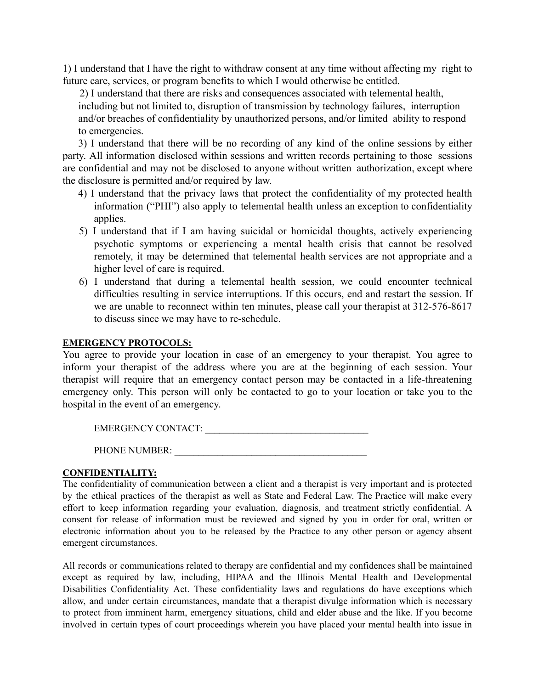1) I understand that I have the right to withdraw consent at any time without affecting my right to future care, services, or program benefits to which I would otherwise be entitled.

2) I understand that there are risks and consequences associated with telemental health, including but not limited to, disruption of transmission by technology failures, interruption and/or breaches of confidentiality by unauthorized persons, and/or limited ability to respond to emergencies.

3) I understand that there will be no recording of any kind of the online sessions by either party. All information disclosed within sessions and written records pertaining to those sessions are confidential and may not be disclosed to anyone without written authorization, except where the disclosure is permitted and/or required by law.

- 4) I understand that the privacy laws that protect the confidentiality of my protected health information ("PHI") also apply to telemental health unless an exception to confidentiality applies.
- 5) I understand that if I am having suicidal or homicidal thoughts, actively experiencing psychotic symptoms or experiencing a mental health crisis that cannot be resolved remotely, it may be determined that telemental health services are not appropriate and a higher level of care is required.
- 6) I understand that during a telemental health session, we could encounter technical difficulties resulting in service interruptions. If this occurs, end and restart the session. If we are unable to reconnect within ten minutes, please call your therapist at 312-576-8617 to discuss since we may have to re-schedule.

# **EMERGENCY PROTOCOLS:**

You agree to provide your location in case of an emergency to your therapist. You agree to inform your therapist of the address where you are at the beginning of each session. Your therapist will require that an emergency contact person may be contacted in a life-threatening emergency only. This person will only be contacted to go to your location or take you to the hospital in the event of an emergency.

| <b>EMERGENCY CONTACT:</b> |  |
|---------------------------|--|
| <b>PHONE NUMBER:</b>      |  |

#### **CONFIDENTIALITY:**

The confidentiality of communication between a client and a therapist is very important and is protected by the ethical practices of the therapist as well as State and Federal Law. The Practice will make every effort to keep information regarding your evaluation, diagnosis, and treatment strictly confidential. A consent for release of information must be reviewed and signed by you in order for oral, written or electronic information about you to be released by the Practice to any other person or agency absent emergent circumstances.

All records or communications related to therapy are confidential and my confidences shall be maintained except as required by law, including, HIPAA and the Illinois Mental Health and Developmental Disabilities Confidentiality Act. These confidentiality laws and regulations do have exceptions which allow, and under certain circumstances, mandate that a therapist divulge information which is necessary to protect from imminent harm, emergency situations, child and elder abuse and the like. If you become involved in certain types of court proceedings wherein you have placed your mental health into issue in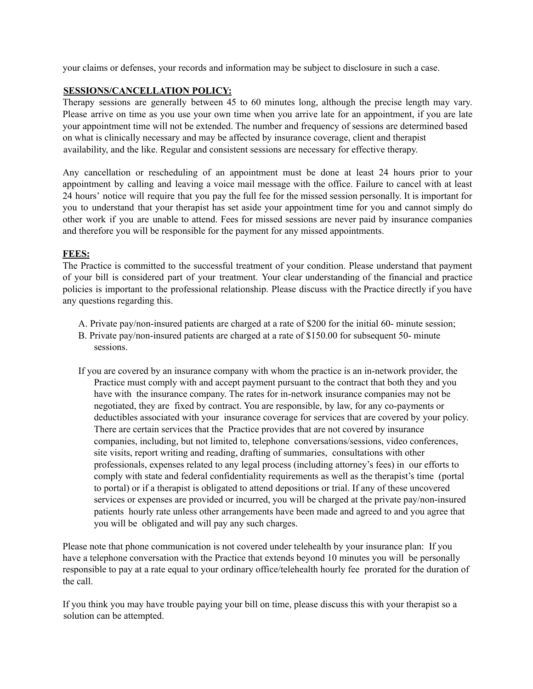your claims or defenses, your records and information may be subject to disclosure in such a case.

## **SESSIONS/CANCELLATION POLICY:**

Therapy sessions are generally between 45 to 60 minutes long, although the precise length may vary. Please arrive on time as you use your own time when you arrive late for an appointment, if you are late your appointment time will not be extended. The number and frequency of sessions are determined based on what is clinically necessary and may be affected by insurance coverage, client and therapist availability, and the like. Regular and consistent sessions are necessary for effective therapy.

Any cancellation or rescheduling of an appointment must be done at least 24 hours prior to your appointment by calling and leaving a voice mail message with the office. Failure to cancel with at least 24 hours' notice will require that you pay the full fee for the missed session personally. It is important for you to understand that your therapist has set aside your appointment time for you and cannot simply do other work if you are unable to attend. Fees for missed sessions are never paid by insurance companies and therefore you will be responsible for the payment for any missed appointments.

## **FEES:**

The Practice is committed to the successful treatment of your condition. Please understand that payment of your bill is considered part of your treatment. Your clear understanding of the financial and practice policies is important to the professional relationship. Please discuss with the Practice directly if you have any questions regarding this.

- A. Private pay/non-insured patients are charged at a rate of \$200 for the initial 60- minute session;
- B. Private pay/non-insured patients are charged at a rate of \$150.00 for subsequent 50- minute sessions.
- If you are covered by an insurance company with whom the practice is an in-network provider, the Practice must comply with and accept payment pursuant to the contract that both they and you have with the insurance company. The rates for in-network insurance companies may not be negotiated, they are fixed by contract. You are responsible, by law, for any co-payments or deductibles associated with your insurance coverage for services that are covered by your policy. There are certain services that the Practice provides that are not covered by insurance companies, including, but not limited to, telephone conversations/sessions, video conferences, site visits, report writing and reading, drafting of summaries, consultations with other professionals, expenses related to any legal process (including attorney's fees) in our efforts to comply with state and federal confidentiality requirements as well as the therapist's time (portal to portal) or if a therapist is obligated to attend depositions or trial. If any of these uncovered services or expenses are provided or incurred, you will be charged at the private pay/non-insured patients hourly rate unless other arrangements have been made and agreed to and you agree that you will be obligated and will pay any such charges.

Please note that phone communication is not covered under telehealth by your insurance plan: If you have a telephone conversation with the Practice that extends beyond 10 minutes you will be personally responsible to pay at a rate equal to your ordinary office/telehealth hourly fee prorated for the duration of the call.

If you think you may have trouble paying your bill on time, please discuss this with your therapist so a solution can be attempted.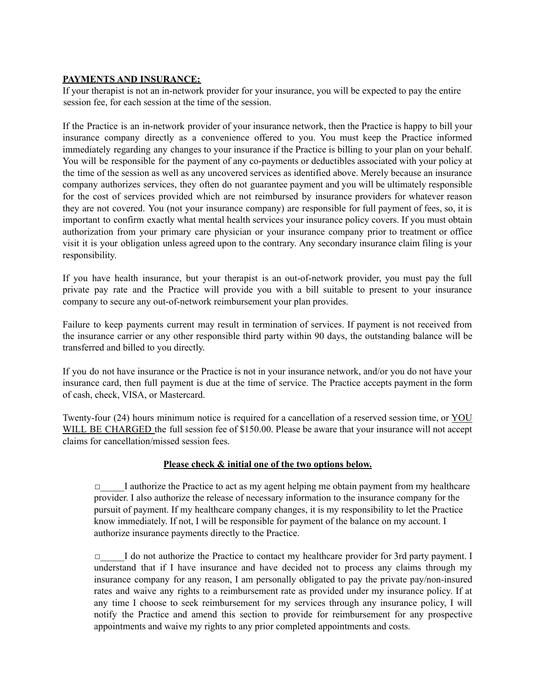# **PAYMENTS AND INSURANCE:**

If your therapist is not an in-network provider for your insurance, you will be expected to pay the entire session fee, for each session at the time of the session.

If the Practice is an in-network provider of your insurance network, then the Practice is happy to bill your insurance company directly as a convenience offered to you. You must keep the Practice informed immediately regarding any changes to your insurance if the Practice is billing to your plan on your behalf. You will be responsible for the payment of any co-payments or deductibles associated with your policy at the time of the session as well as any uncovered services as identified above. Merely because an insurance company authorizes services, they often do not guarantee payment and you will be ultimately responsible for the cost of services provided which are not reimbursed by insurance providers for whatever reason they are not covered. You (not your insurance company) are responsible for full payment of fees, so, it is important to confirm exactly what mental health services your insurance policy covers. If you must obtain authorization from your primary care physician or your insurance company prior to treatment or office visit it is your obligation unless agreed upon to the contrary. Any secondary insurance claim filing is your responsibility.

If you have health insurance, but your therapist is an out-of-network provider, you must pay the full private pay rate and the Practice will provide you with a bill suitable to present to your insurance company to secure any out-of-network reimbursement your plan provides.

Failure to keep payments current may result in termination of services. If payment is not received from the insurance carrier or any other responsible third party within 90 days, the outstanding balance will be transferred and billed to you directly.

If you do not have insurance or the Practice is not in your insurance network, and/or you do not have your insurance card, then full payment is due at the time of service. The Practice accepts payment in the form of cash, check, VISA, or Mastercard.

Twenty-four (24) hours minimum notice is required for a cancellation of a reserved session time, or YOU WILL BE CHARGED the full session fee of \$150.00. Please be aware that your insurance will not accept claims for cancellation/missed session fees.

# **Please check & initial one of the two options below.**

I authorize the Practice to act as my agent helping me obtain payment from my healthcare provider. I also authorize the release of necessary information to the insurance company for the pursuit of payment. If my healthcare company changes, it is my responsibility to let the Practice know immediately. If not, I will be responsible for payment of the balance on my account. I authorize insurance payments directly to the Practice.

□\_\_\_\_\_I do not authorize the Practice to contact my healthcare provider for 3rd party payment. I understand that if I have insurance and have decided not to process any claims through my insurance company for any reason, I am personally obligated to pay the private pay/non-insured rates and waive any rights to a reimbursement rate as provided under my insurance policy. If at any time I choose to seek reimbursement for my services through any insurance policy, I will notify the Practice and amend this section to provide for reimbursement for any prospective appointments and waive my rights to any prior completed appointments and costs.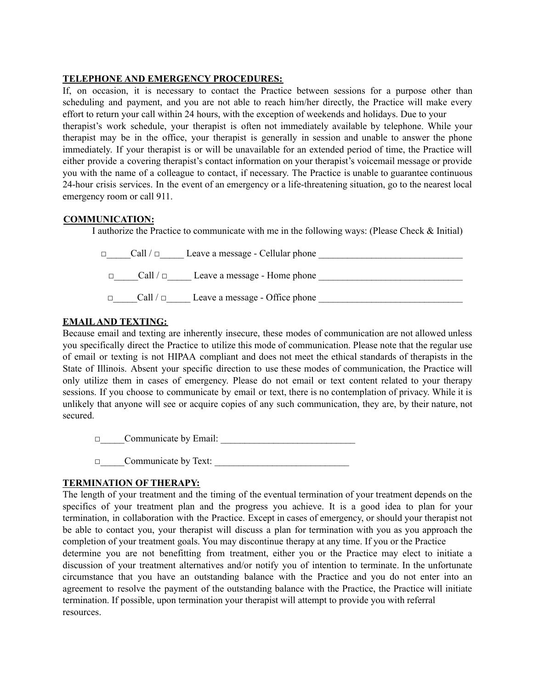## **TELEPHONE AND EMERGENCY PROCEDURES:**

If, on occasion, it is necessary to contact the Practice between sessions for a purpose other than scheduling and payment, and you are not able to reach him/her directly, the Practice will make every effort to return your call within 24 hours, with the exception of weekends and holidays. Due to your therapist's work schedule, your therapist is often not immediately available by telephone. While your therapist may be in the office, your therapist is generally in session and unable to answer the phone immediately. If your therapist is or will be unavailable for an extended period of time, the Practice will either provide a covering therapist's contact information on your therapist's voicemail message or provide you with the name of a colleague to contact, if necessary. The Practice is unable to guarantee continuous 24-hour crisis services. In the event of an emergency or a life-threatening situation, go to the nearest local emergency room or call 911.

#### **COMMUNICATION:**

I authorize the Practice to communicate with me in the following ways: (Please Check & Initial)



# **EMAILAND TEXTING:**

Because email and texting are inherently insecure, these modes of communication are not allowed unless you specifically direct the Practice to utilize this mode of communication. Please note that the regular use of email or texting is not HIPAA compliant and does not meet the ethical standards of therapists in the State of Illinois. Absent your specific direction to use these modes of communication, the Practice will only utilize them in cases of emergency. Please do not email or text content related to your therapy sessions. If you choose to communicate by email or text, there is no contemplation of privacy. While it is unlikely that anyone will see or acquire copies of any such communication, they are, by their nature, not secured.

□\_\_\_\_\_Communicate by Email: \_\_\_\_\_\_\_\_\_\_\_\_\_\_\_\_\_\_\_\_\_\_\_\_\_\_\_\_

 $\Box$  Communicate by Text:

# **TERMINATION OF THERAPY:**

The length of your treatment and the timing of the eventual termination of your treatment depends on the specifics of your treatment plan and the progress you achieve. It is a good idea to plan for your termination, in collaboration with the Practice. Except in cases of emergency, or should your therapist not be able to contact you, your therapist will discuss a plan for termination with you as you approach the completion of your treatment goals. You may discontinue therapy at any time. If you or the Practice

determine you are not benefitting from treatment, either you or the Practice may elect to initiate a discussion of your treatment alternatives and/or notify you of intention to terminate. In the unfortunate circumstance that you have an outstanding balance with the Practice and you do not enter into an agreement to resolve the payment of the outstanding balance with the Practice, the Practice will initiate termination. If possible, upon termination your therapist will attempt to provide you with referral resources.